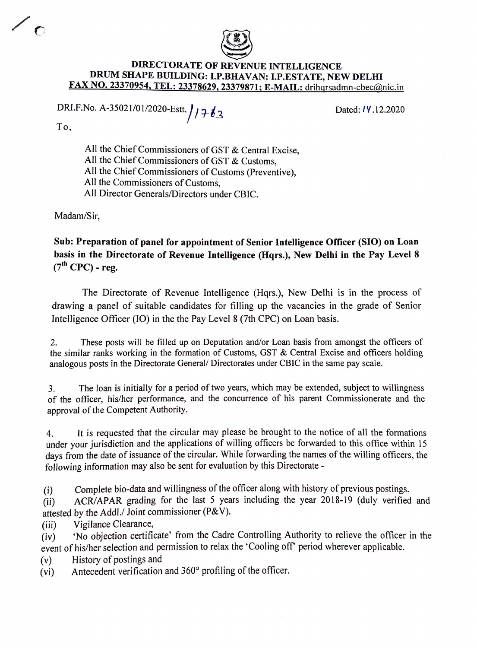

## **DIRECTORATE OF REVENUE INTELLIGENCE DRUM SHAPE BUILDING: I.P.BHAVAN: I.P.ESTATE, NEW DELHI FAX NO. 23370954, TEL: 23378629, 23379871; E-MAIL:** drihgrsadmn-cbec@nic.in

DRI.F.No. A-35021/01/2020-Estt. //7 63

Dated: *I* Y .12.2020

To,

 $\sqrt{c}$ 

All the Chief Commissioners of GST & Central Excise, All the Chief Commissioners of GST & Customs, All the Chief Commissioners of Customs (Preventive), All the Commissioners of Customs, All Director Generals/Directors under CBIC.

Madam/Sir,

**Sub: Preparation of panel for appointment of Senior Intelligence Officer (SIO) on Loan basis in the Directorate of Revenue Intelligence (Hqrs.), New Delhi in the Pay Level 8**   $(7<sup>th</sup>$  CPC) - reg.

The Directorate of Revenue Intelligence (Hqrs.), New Delhi is in the process of drawing a panel of suitable candidates for filling up the vacancies in the grade of Senior Intelligence Officer (IO) in the the Pay Level 8 (7th CPC) on Loan basis.

2. These posts will be filled up on Deputation and/or Loan basis from amongst the officers of the similar ranks working in the formation of Customs, GST & Central Excise and officers holding analogous posts in the Directorate General/ Directorates under CBIC in the same pay scale.

3. The loan is initially for a period of two years, which may be extended, subject to willingness of the officer, his/her performance, and the concurrence of his parent Commissionerate and the approval of the Competent Authority.

4. It is requested that the circular may please be brought to the notice of all the formations under your jurisdiction and the applications of willing officers be forwarded to this office within 15 days from the date of issuance of the circular. While forwarding the names of the willing officers, the following information may also be sent for evaluation by this Directorate -

(i) Complete bio-data and willingness of the officer along with history of previous postings.

(ii) ACR/APAR grading for the last 5 years including the year 2018-19 (duly verified and attested by the Addi./ Joint commissioner (P&V).

(iii) Vigilance Clearance,

(iv) 'No objection certificate' from the Cadre Controlling Authority to relieve the officer in the event of his/her selection and permission to relax the 'Cooling off' period wherever applicable.

(v) History of postings and

(vi) Antecedent verification and 360° profiling of the officer.